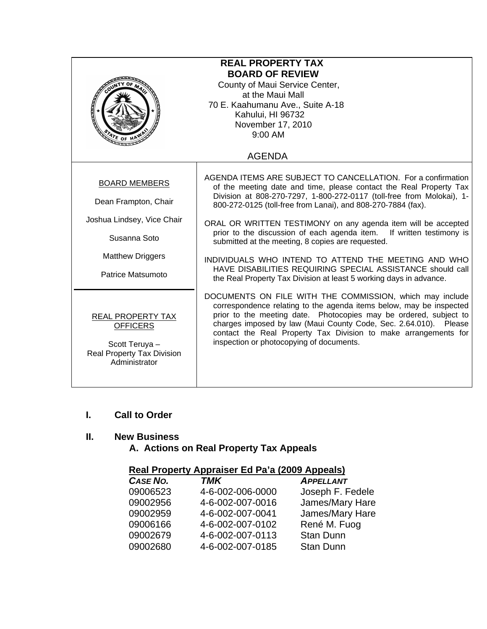| <b>REAL PROPERTY TAX</b><br><b>BOARD OF REVIEW</b><br>County of Maui Service Center,<br>at the Maui Mall<br>70 E. Kaahumanu Ave., Suite A-18<br>Kahului, HI 96732<br>November 17, 2010<br>$9:00$ AM<br>ATE OF H |                                                                                                                                                                                                                                                                                                                                                                                                                                                                                                                                                                                                                                                                       |  |
|-----------------------------------------------------------------------------------------------------------------------------------------------------------------------------------------------------------------|-----------------------------------------------------------------------------------------------------------------------------------------------------------------------------------------------------------------------------------------------------------------------------------------------------------------------------------------------------------------------------------------------------------------------------------------------------------------------------------------------------------------------------------------------------------------------------------------------------------------------------------------------------------------------|--|
|                                                                                                                                                                                                                 | <b>AGENDA</b>                                                                                                                                                                                                                                                                                                                                                                                                                                                                                                                                                                                                                                                         |  |
| <b>BOARD MEMBERS</b><br>Dean Frampton, Chair<br>Joshua Lindsey, Vice Chair<br>Susanna Soto<br><b>Matthew Driggers</b><br>Patrice Matsumoto                                                                      | AGENDA ITEMS ARE SUBJECT TO CANCELLATION. For a confirmation<br>of the meeting date and time, please contact the Real Property Tax<br>Division at 808-270-7297, 1-800-272-0117 (toll-free from Molokai), 1-<br>800-272-0125 (toll-free from Lanai), and 808-270-7884 (fax).<br>ORAL OR WRITTEN TESTIMONY on any agenda item will be accepted<br>prior to the discussion of each agenda item. If written testimony is<br>submitted at the meeting, 8 copies are requested.<br>INDIVIDUALS WHO INTEND TO ATTEND THE MEETING AND WHO<br>HAVE DISABILITIES REQUIRING SPECIAL ASSISTANCE should call<br>the Real Property Tax Division at least 5 working days in advance. |  |
| REAL PROPERTY TAX<br><b>OFFICERS</b><br>Scott Teruya -<br>Real Property Tax Division<br>Administrator                                                                                                           | DOCUMENTS ON FILE WITH THE COMMISSION, which may include<br>correspondence relating to the agenda items below, may be inspected<br>prior to the meeting date. Photocopies may be ordered, subject to<br>charges imposed by law (Maui County Code, Sec. 2.64.010). Please<br>contact the Real Property Tax Division to make arrangements for<br>inspection or photocopying of documents.                                                                                                                                                                                                                                                                               |  |

### **I. Call to Order**

### **II. New Business**

 **A. Actions on Real Property Tax Appeals** 

### **Real Property Appraiser Ed Pa'a (2009 Appeals)**

| CASE NO. | <b>TMK</b>       | <b>APPELLANT</b> |
|----------|------------------|------------------|
| 09006523 | 4-6-002-006-0000 | Joseph F. Fedele |
| 09002956 | 4-6-002-007-0016 | James/Mary Hare  |
| 09002959 | 4-6-002-007-0041 | James/Mary Hare  |
| 09006166 | 4-6-002-007-0102 | René M. Fuog     |
| 09002679 | 4-6-002-007-0113 | <b>Stan Dunn</b> |
| 09002680 | 4-6-002-007-0185 | <b>Stan Dunn</b> |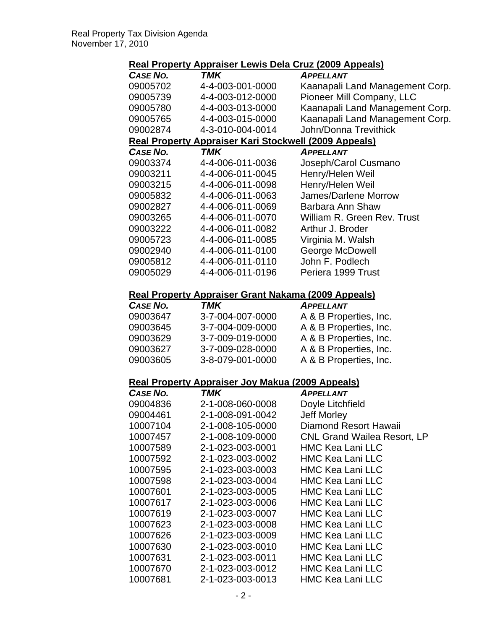# **Real Property Appraiser Lewis Dela Cruz (2009 Appeals)**

| <u></u>                                                 |                                                              | <b>The Terms Dold Orde (2000 / ippodic)</b> |  |  |  |
|---------------------------------------------------------|--------------------------------------------------------------|---------------------------------------------|--|--|--|
| <b>CASE NO.</b>                                         | TMK                                                          | <b>APPELLANT</b>                            |  |  |  |
| 09005702                                                | 4-4-003-001-0000                                             | Kaanapali Land Management Corp.             |  |  |  |
| 09005739                                                | 4-4-003-012-0000                                             | Pioneer Mill Company, LLC                   |  |  |  |
| 09005780                                                | 4-4-003-013-0000                                             | Kaanapali Land Management Corp.             |  |  |  |
| 09005765                                                | 4-4-003-015-0000                                             | Kaanapali Land Management Corp.             |  |  |  |
| 09002874                                                | 4-3-010-004-0014                                             | <b>John/Donna Trevithick</b>                |  |  |  |
|                                                         | <b>Real Property Appraiser Kari Stockwell (2009 Appeals)</b> |                                             |  |  |  |
| CASE NO.                                                | TMK                                                          | <b>APPELLANT</b>                            |  |  |  |
| 09003374                                                | 4-4-006-011-0036                                             | Joseph/Carol Cusmano                        |  |  |  |
| 09003211                                                | 4-4-006-011-0045                                             | Henry/Helen Weil                            |  |  |  |
| 09003215                                                | 4-4-006-011-0098                                             | Henry/Helen Weil                            |  |  |  |
| 09005832                                                | 4-4-006-011-0063                                             | James/Darlene Morrow                        |  |  |  |
| 09002827                                                | 4-4-006-011-0069                                             | Barbara Ann Shaw                            |  |  |  |
| 09003265                                                | 4-4-006-011-0070                                             | William R. Green Rev. Trust                 |  |  |  |
| 09003222                                                | 4-4-006-011-0082                                             | Arthur J. Broder                            |  |  |  |
| 09005723                                                | 4-4-006-011-0085                                             | Virginia M. Walsh                           |  |  |  |
| 09002940                                                | 4-4-006-011-0100                                             | George McDowell                             |  |  |  |
| 09005812                                                | 4-4-006-011-0110                                             | John F. Podlech                             |  |  |  |
| 09005029                                                | 4-4-006-011-0196                                             | Periera 1999 Trust                          |  |  |  |
|                                                         |                                                              |                                             |  |  |  |
|                                                         | <b>Real Property Appraiser Grant Nakama (2009 Appeals)</b>   |                                             |  |  |  |
| <b>CASE NO.</b>                                         | TMK                                                          | <b>APPELLANT</b>                            |  |  |  |
| 09003647                                                | 3-7-004-007-0000                                             | A & B Properties, Inc.                      |  |  |  |
| 09003645                                                | 3-7-004-009-0000                                             | A & B Properties, Inc.                      |  |  |  |
| 09003629                                                | 3-7-009-019-0000                                             | A & B Properties, Inc.                      |  |  |  |
| 09003627                                                | 3-7-009-028-0000                                             | A & B Properties, Inc.                      |  |  |  |
| 09003605                                                | 3-8-079-001-0000                                             | A & B Properties, Inc.                      |  |  |  |
|                                                         |                                                              |                                             |  |  |  |
| <b>Real Property Appraiser Joy Makua (2009 Appeals)</b> |                                                              |                                             |  |  |  |

| CASE NO. | TMK              | <b>APPELLANT</b>                   |
|----------|------------------|------------------------------------|
| 09004836 | 2-1-008-060-0008 | Doyle Litchfield                   |
| 09004461 | 2-1-008-091-0042 | <b>Jeff Morley</b>                 |
| 10007104 | 2-1-008-105-0000 | Diamond Resort Hawaii              |
| 10007457 | 2-1-008-109-0000 | <b>CNL Grand Wailea Resort, LP</b> |
| 10007589 | 2-1-023-003-0001 | <b>HMC Kea Lani LLC</b>            |
| 10007592 | 2-1-023-003-0002 | <b>HMC Kea Lani LLC</b>            |
| 10007595 | 2-1-023-003-0003 | <b>HMC Kea Lani LLC</b>            |
| 10007598 | 2-1-023-003-0004 | <b>HMC Kea Lani LLC</b>            |
| 10007601 | 2-1-023-003-0005 | HMC Kea Lani LLC                   |
| 10007617 | 2-1-023-003-0006 | HMC Kea Lani LLC                   |
| 10007619 | 2-1-023-003-0007 | HMC Kea Lani LLC                   |
| 10007623 | 2-1-023-003-0008 | HMC Kea Lani LLC                   |
| 10007626 | 2-1-023-003-0009 | HMC Kea Lani LLC                   |
| 10007630 | 2-1-023-003-0010 | HMC Kea Lani LLC                   |
| 10007631 | 2-1-023-003-0011 | HMC Kea Lani LLC                   |
| 10007670 | 2-1-023-003-0012 | <b>HMC Kea Lani LLC</b>            |
| 10007681 | 2-1-023-003-0013 | <b>HMC Kea Lani LLC</b>            |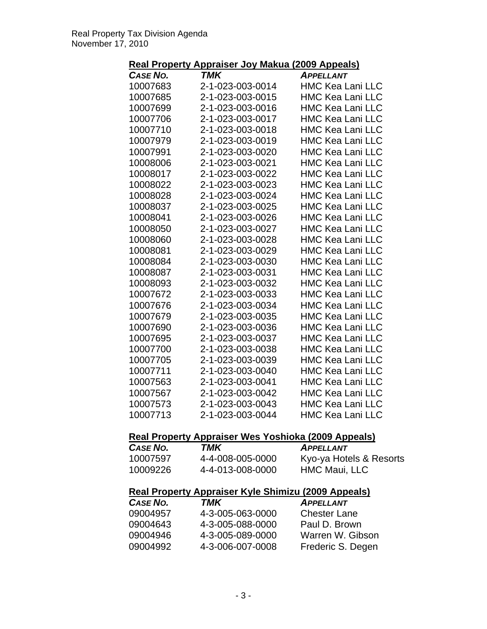## **Real Property Appraiser Joy Makua (2009 Appeals)**

| .               | <b>TMK</b>       | <u>.</u>                |
|-----------------|------------------|-------------------------|
| <b>CASE NO.</b> |                  | <b>APPELLANT</b>        |
| 10007683        | 2-1-023-003-0014 | <b>HMC Kea Lani LLC</b> |
| 10007685        | 2-1-023-003-0015 | <b>HMC Kea Lani LLC</b> |
| 10007699        | 2-1-023-003-0016 | <b>HMC Kea Lani LLC</b> |
| 10007706        | 2-1-023-003-0017 | <b>HMC Kea Lani LLC</b> |
| 10007710        | 2-1-023-003-0018 | <b>HMC Kea Lani LLC</b> |
| 10007979        | 2-1-023-003-0019 | <b>HMC Kea Lani LLC</b> |
| 10007991        | 2-1-023-003-0020 | <b>HMC Kea Lani LLC</b> |
| 10008006        | 2-1-023-003-0021 | <b>HMC Kea Lani LLC</b> |
| 10008017        | 2-1-023-003-0022 | <b>HMC Kea Lani LLC</b> |
| 10008022        | 2-1-023-003-0023 | <b>HMC Kea Lani LLC</b> |
| 10008028        | 2-1-023-003-0024 | <b>HMC Kea Lani LLC</b> |
| 10008037        | 2-1-023-003-0025 | <b>HMC Kea Lani LLC</b> |
| 10008041        | 2-1-023-003-0026 | <b>HMC Kea Lani LLC</b> |
| 10008050        | 2-1-023-003-0027 | <b>HMC Kea Lani LLC</b> |
| 10008060        | 2-1-023-003-0028 | <b>HMC Kea Lani LLC</b> |
| 10008081        | 2-1-023-003-0029 | <b>HMC Kea Lani LLC</b> |
| 10008084        | 2-1-023-003-0030 | <b>HMC Kea Lani LLC</b> |
| 10008087        | 2-1-023-003-0031 | <b>HMC Kea Lani LLC</b> |
| 10008093        | 2-1-023-003-0032 | <b>HMC Kea Lani LLC</b> |
| 10007672        | 2-1-023-003-0033 | <b>HMC Kea Lani LLC</b> |
| 10007676        | 2-1-023-003-0034 | <b>HMC Kea Lani LLC</b> |
| 10007679        | 2-1-023-003-0035 | <b>HMC Kea Lani LLC</b> |
| 10007690        | 2-1-023-003-0036 | <b>HMC Kea Lani LLC</b> |
| 10007695        | 2-1-023-003-0037 | <b>HMC Kea Lani LLC</b> |
| 10007700        | 2-1-023-003-0038 | <b>HMC Kea Lani LLC</b> |
| 10007705        | 2-1-023-003-0039 | <b>HMC Kea Lani LLC</b> |
| 10007711        | 2-1-023-003-0040 | <b>HMC Kea Lani LLC</b> |
| 10007563        | 2-1-023-003-0041 | <b>HMC Kea Lani LLC</b> |
| 10007567        | 2-1-023-003-0042 | <b>HMC Kea Lani LLC</b> |
| 10007573        | 2-1-023-003-0043 | <b>HMC Kea Lani LLC</b> |
| 10007713        | 2-1-023-003-0044 | <b>HMC Kea Lani LLC</b> |

### **Real Property Appraiser Wes Yoshioka (2009 Appeals)**

| CASE NO. | TMK              | <b>APPELLANT</b>        |
|----------|------------------|-------------------------|
| 10007597 | 4-4-008-005-0000 | Kyo-ya Hotels & Resorts |
| 10009226 | 4-4-013-008-0000 | HMC Maui, LLC           |

### **Real Property Appraiser Kyle Shimizu (2009 Appeals)**

| CASE NO. | TMK              | <b>APPELLANT</b>    |
|----------|------------------|---------------------|
| 09004957 | 4-3-005-063-0000 | <b>Chester Lane</b> |
| 09004643 | 4-3-005-088-0000 | Paul D. Brown       |
| 09004946 | 4-3-005-089-0000 | Warren W. Gibson    |
| 09004992 | 4-3-006-007-0008 | Frederic S. Degen   |